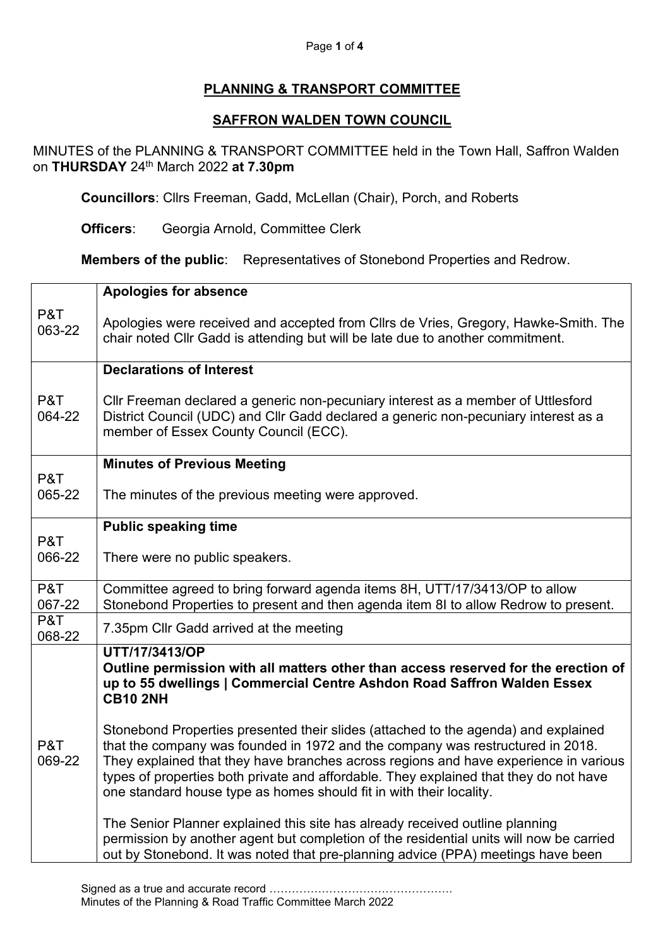## Page **1** of **4**

## **PLANNING & TRANSPORT COMMITTEE**

## **SAFFRON WALDEN TOWN COUNCIL**

MINUTES of the PLANNING & TRANSPORT COMMITTEE held in the Town Hall, Saffron Walden on **THURSDAY** 24th March 2022 **at 7.30pm**

**Councillors**: Cllrs Freeman, Gadd, McLellan (Chair), Porch, and Roberts

**Officers**: Georgia Arnold, Committee Clerk

**Members of the public:** Representatives of Stonebond Properties and Redrow.

|               | <b>Apologies for absence</b>                                                                                                                                                                                                                                                                                                                                                                                                 |
|---------------|------------------------------------------------------------------------------------------------------------------------------------------------------------------------------------------------------------------------------------------------------------------------------------------------------------------------------------------------------------------------------------------------------------------------------|
| P&T<br>063-22 | Apologies were received and accepted from Cllrs de Vries, Gregory, Hawke-Smith. The<br>chair noted Cllr Gadd is attending but will be late due to another commitment.                                                                                                                                                                                                                                                        |
|               | <b>Declarations of Interest</b>                                                                                                                                                                                                                                                                                                                                                                                              |
| P&T<br>064-22 | CIIr Freeman declared a generic non-pecuniary interest as a member of Uttlesford<br>District Council (UDC) and Cllr Gadd declared a generic non-pecuniary interest as a<br>member of Essex County Council (ECC).                                                                                                                                                                                                             |
|               | <b>Minutes of Previous Meeting</b>                                                                                                                                                                                                                                                                                                                                                                                           |
| P&T<br>065-22 | The minutes of the previous meeting were approved.                                                                                                                                                                                                                                                                                                                                                                           |
|               | <b>Public speaking time</b>                                                                                                                                                                                                                                                                                                                                                                                                  |
| P&T<br>066-22 | There were no public speakers.                                                                                                                                                                                                                                                                                                                                                                                               |
| P&T<br>067-22 | Committee agreed to bring forward agenda items 8H, UTT/17/3413/OP to allow<br>Stonebond Properties to present and then agenda item 8I to allow Redrow to present.                                                                                                                                                                                                                                                            |
| P&T<br>068-22 | 7.35pm Cllr Gadd arrived at the meeting                                                                                                                                                                                                                                                                                                                                                                                      |
|               | UTT/17/3413/OP<br>Outline permission with all matters other than access reserved for the erection of<br>up to 55 dwellings   Commercial Centre Ashdon Road Saffron Walden Essex<br><b>CB10 2NH</b>                                                                                                                                                                                                                           |
| P&T<br>069-22 | Stonebond Properties presented their slides (attached to the agenda) and explained<br>that the company was founded in 1972 and the company was restructured in 2018.<br>They explained that they have branches across regions and have experience in various<br>types of properties both private and affordable. They explained that they do not have<br>one standard house type as homes should fit in with their locality. |
|               | The Senior Planner explained this site has already received outline planning<br>permission by another agent but completion of the residential units will now be carried<br>out by Stonebond. It was noted that pre-planning advice (PPA) meetings have been                                                                                                                                                                  |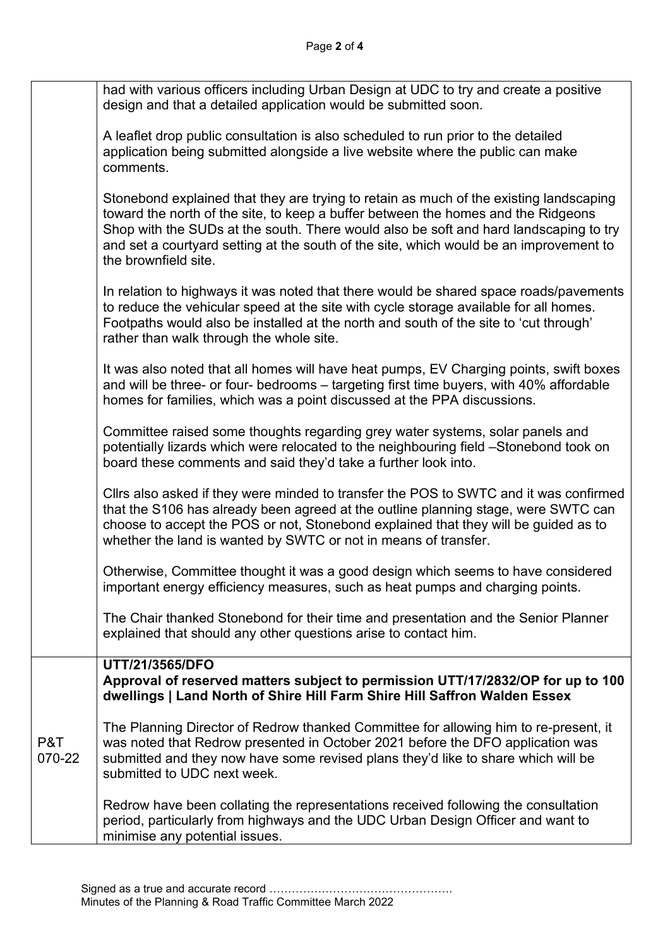|               | had with various officers including Urban Design at UDC to try and create a positive<br>design and that a detailed application would be submitted soon.                                                                                                                                                                                                                                |
|---------------|----------------------------------------------------------------------------------------------------------------------------------------------------------------------------------------------------------------------------------------------------------------------------------------------------------------------------------------------------------------------------------------|
|               | A leaflet drop public consultation is also scheduled to run prior to the detailed<br>application being submitted alongside a live website where the public can make<br>comments.                                                                                                                                                                                                       |
|               | Stonebond explained that they are trying to retain as much of the existing landscaping<br>toward the north of the site, to keep a buffer between the homes and the Ridgeons<br>Shop with the SUDs at the south. There would also be soft and hard landscaping to try<br>and set a courtyard setting at the south of the site, which would be an improvement to<br>the brownfield site. |
|               | In relation to highways it was noted that there would be shared space roads/pavements<br>to reduce the vehicular speed at the site with cycle storage available for all homes.<br>Footpaths would also be installed at the north and south of the site to 'cut through'<br>rather than walk through the whole site.                                                                    |
|               | It was also noted that all homes will have heat pumps, EV Charging points, swift boxes<br>and will be three- or four- bedrooms - targeting first time buyers, with 40% affordable<br>homes for families, which was a point discussed at the PPA discussions.                                                                                                                           |
|               | Committee raised some thoughts regarding grey water systems, solar panels and<br>potentially lizards which were relocated to the neighbouring field -Stonebond took on<br>board these comments and said they'd take a further look into.                                                                                                                                               |
|               | Cllrs also asked if they were minded to transfer the POS to SWTC and it was confirmed<br>that the S106 has already been agreed at the outline planning stage, were SWTC can<br>choose to accept the POS or not, Stonebond explained that they will be guided as to<br>whether the land is wanted by SWTC or not in means of transfer.                                                  |
|               | Otherwise, Committee thought it was a good design which seems to have considered<br>important energy efficiency measures, such as heat pumps and charging points.                                                                                                                                                                                                                      |
|               | The Chair thanked Stonebond for their time and presentation and the Senior Planner<br>explained that should any other questions arise to contact him.                                                                                                                                                                                                                                  |
|               | UTT/21/3565/DFO<br>Approval of reserved matters subject to permission UTT/17/2832/OP for up to 100<br>dwellings   Land North of Shire Hill Farm Shire Hill Saffron Walden Essex                                                                                                                                                                                                        |
| P&T<br>070-22 | The Planning Director of Redrow thanked Committee for allowing him to re-present, it<br>was noted that Redrow presented in October 2021 before the DFO application was<br>submitted and they now have some revised plans they'd like to share which will be<br>submitted to UDC next week.                                                                                             |
|               | Redrow have been collating the representations received following the consultation<br>period, particularly from highways and the UDC Urban Design Officer and want to<br>minimise any potential issues.                                                                                                                                                                                |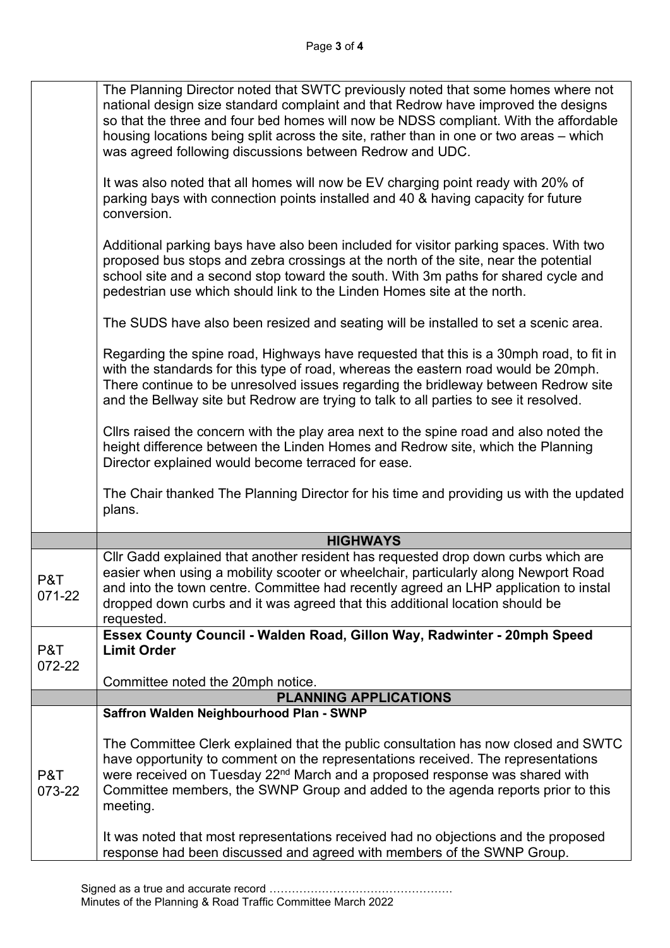|               | The Planning Director noted that SWTC previously noted that some homes where not<br>national design size standard complaint and that Redrow have improved the designs<br>so that the three and four bed homes will now be NDSS compliant. With the affordable<br>housing locations being split across the site, rather than in one or two areas - which<br>was agreed following discussions between Redrow and UDC. |
|---------------|---------------------------------------------------------------------------------------------------------------------------------------------------------------------------------------------------------------------------------------------------------------------------------------------------------------------------------------------------------------------------------------------------------------------|
|               | It was also noted that all homes will now be EV charging point ready with 20% of<br>parking bays with connection points installed and 40 & having capacity for future<br>conversion.                                                                                                                                                                                                                                |
|               | Additional parking bays have also been included for visitor parking spaces. With two<br>proposed bus stops and zebra crossings at the north of the site, near the potential<br>school site and a second stop toward the south. With 3m paths for shared cycle and<br>pedestrian use which should link to the Linden Homes site at the north.                                                                        |
|               | The SUDS have also been resized and seating will be installed to set a scenic area.                                                                                                                                                                                                                                                                                                                                 |
|               | Regarding the spine road, Highways have requested that this is a 30mph road, to fit in<br>with the standards for this type of road, whereas the eastern road would be 20mph.<br>There continue to be unresolved issues regarding the bridleway between Redrow site<br>and the Bellway site but Redrow are trying to talk to all parties to see it resolved.                                                         |
|               | Cllrs raised the concern with the play area next to the spine road and also noted the<br>height difference between the Linden Homes and Redrow site, which the Planning<br>Director explained would become terraced for ease.                                                                                                                                                                                       |
|               | The Chair thanked The Planning Director for his time and providing us with the updated<br>plans.                                                                                                                                                                                                                                                                                                                    |
|               | <b>HIGHWAYS</b>                                                                                                                                                                                                                                                                                                                                                                                                     |
| P&T<br>071-22 | Cllr Gadd explained that another resident has requested drop down curbs which are<br>easier when using a mobility scooter or wheelchair, particularly along Newport Road<br>and into the town centre. Committee had recently agreed an LHP application to instal<br>dropped down curbs and it was agreed that this additional location should be<br>requested.                                                      |
| P&T           | Essex County Council - Walden Road, Gillon Way, Radwinter - 20mph Speed<br><b>Limit Order</b>                                                                                                                                                                                                                                                                                                                       |
| 072-22        |                                                                                                                                                                                                                                                                                                                                                                                                                     |
|               | Committee noted the 20mph notice.                                                                                                                                                                                                                                                                                                                                                                                   |
|               | <b>PLANNING APPLICATIONS</b>                                                                                                                                                                                                                                                                                                                                                                                        |
|               | Saffron Walden Neighbourhood Plan - SWNP                                                                                                                                                                                                                                                                                                                                                                            |
| P&T<br>073-22 | The Committee Clerk explained that the public consultation has now closed and SWTC<br>have opportunity to comment on the representations received. The representations<br>were received on Tuesday 22 <sup>nd</sup> March and a proposed response was shared with<br>Committee members, the SWNP Group and added to the agenda reports prior to this<br>meeting.                                                    |
|               | It was noted that most representations received had no objections and the proposed<br>response had been discussed and agreed with members of the SWNP Group.                                                                                                                                                                                                                                                        |